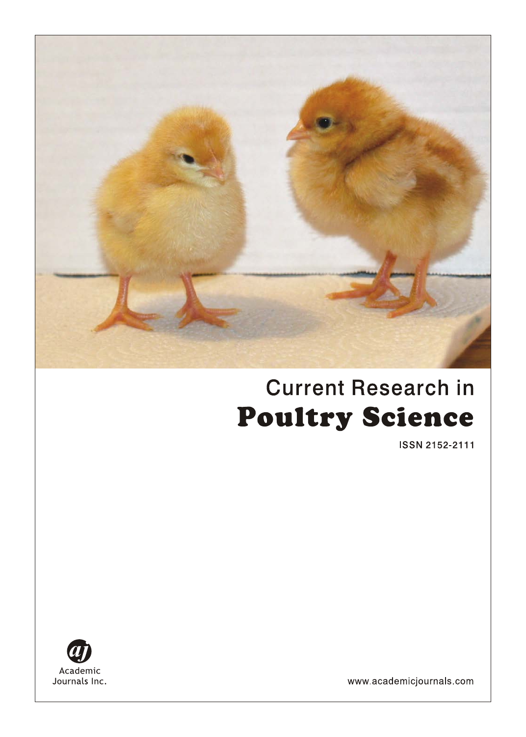

# **Current Research in Poultry Science**

ISSN 2152-2111



www.academicjournals.com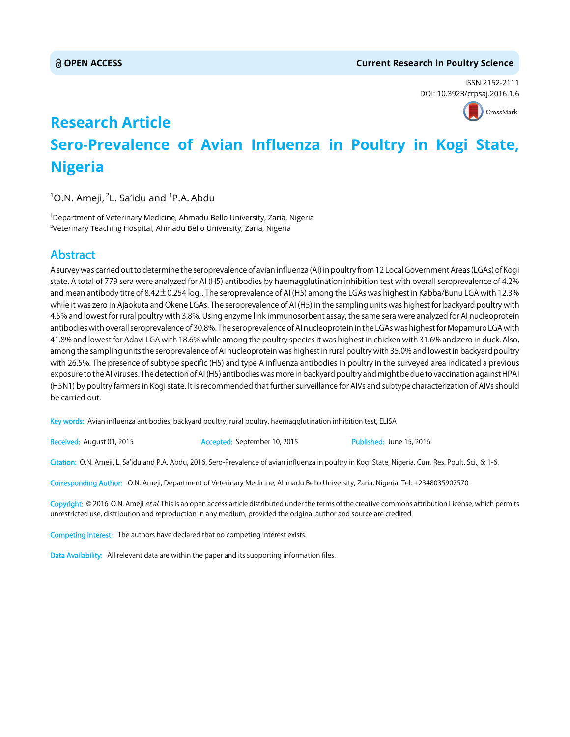#### **OPEN ACCESS Current Research in Poultry Science**

ISSN 2152-2111 DOI: 10.3923/crpsaj.2016.1.6



## **Research Article Sero-Prevalence of Avian Influenza in Poultry in Kogi State, Nigeria**

 $^1$ O.N. Ameji,  $^2$ L. Sa'idu and  $^1$ P.A. Abdu

1 Department of Veterinary Medicine, Ahmadu Bello University, Zaria, Nigeria <sup>2</sup>Veterinary Teaching Hospital, Ahmadu Bello University, Zaria, Nigeria

### Abstract

A survey was carried out to determine the seroprevalence of avian influenza (AI) in poultry from 12 Local Government Areas (LGAs) of Kogi state. A total of 779 sera were analyzed for AI (H5) antibodies by haemagglutination inhibition test with overall seroprevalence of 4.2% and mean antibody titre of 8.42 ± 0.254 log<sub>2</sub>. The seroprevalence of AI (H5) among the LGAs was highest in Kabba/Bunu LGA with 12.3% while it was zero in Ajaokuta and Okene LGAs. The seroprevalence of AI (H5) in the sampling units was highest for backyard poultry with 4.5% and lowest for rural poultry with 3.8%. Using enzyme link immunosorbent assay, the same sera were analyzed for AI nucleoprotein antibodies with overall seroprevalence of 30.8%. The seroprevalence of AI nucleoprotein in the LGAs was highest for Mopamuro LGA with 41.8% and lowest for Adavi LGA with 18.6% while among the poultry species it was highest in chicken with 31.6% and zero in duck. Also, among the sampling units the seroprevalence of AI nucleoprotein was highest in rural poultry with 35.0% and lowest in backyard poultry with 26.5%. The presence of subtype specific (H5) and type A influenza antibodies in poultry in the surveyed area indicated a previous exposure to the AI viruses. The detection of AI (H5) antibodies was more in backyard poultry and might be due to vaccination against HPAI (H5N1) by poultry farmers in Kogi state. It is recommended that further surveillance for AIVs and subtype characterization of AIVs should be carried out.

Key words: Avian influenza antibodies, backyard poultry, rural poultry, haemagglutination inhibition test, ELISA

Received: August 01, 2015 **Accepted: September 10, 2015** Published: June 15, 2016

Citation: O.N. Ameji, L. Sa'idu and P.A. Abdu, 2016. Sero-Prevalence of avian influenza in poultry in Kogi State, Nigeria. Curr. Res. Poult. Sci., 6: 1-6.

Corresponding Author: O.N. Ameji, Department of Veterinary Medicine, Ahmadu Bello University, Zaria, Nigeria Tel: +2348035907570

Copyright: © 2016 O.N. Ameji et al. This is an open access article distributed under the terms of the creative commons attribution License, which permits unrestricted use, distribution and reproduction in any medium, provided the original author and source are credited.

Competing Interest: The authors have declared that no competing interest exists.

Data Availability: All relevant data are within the paper and its supporting information files.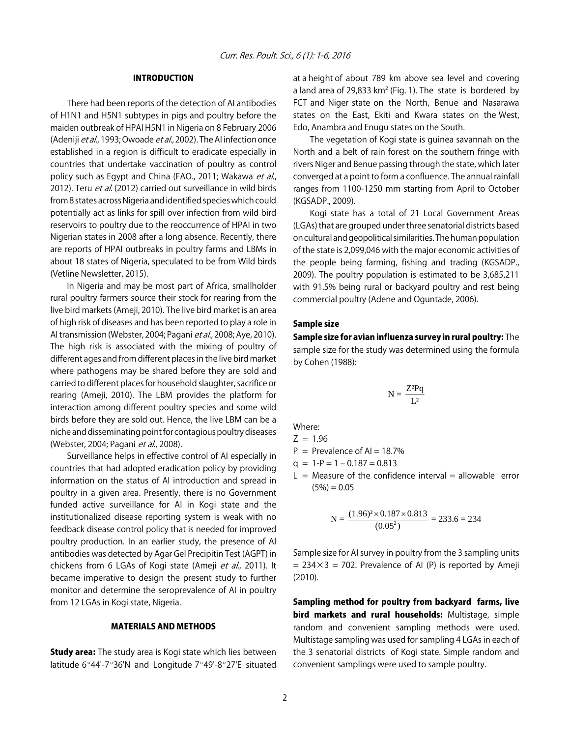#### INTRODUCTION

There had been reports of the detection of AI antibodies of H1N1 and H5N1 subtypes in pigs and poultry before the maiden outbreak of HPAI H5N1 in Nigeria on 8 February 2006 (Adeniji *et al.*, 1993; Owoade *et al.*, 2002). The AI infection once established in a region is difficult to eradicate especially in countries that undertake vaccination of poultry as control policy such as Egypt and China (FAO., 2011; Wakawa et al., 2012). Teru et al. (2012) carried out surveillance in wild birds from 8 states across Nigeria and identified species which could potentially act as links for spill over infection from wild bird reservoirs to poultry due to the reoccurrence of HPAI in two Nigerian states in 2008 after a long absence. Recently, there are reports of HPAI outbreaks in poultry farms and LBMs in about 18 states of Nigeria, speculated to be from Wild birds (Vetline Newsletter, 2015).

In Nigeria and may be most part of Africa, smallholder rural poultry farmers source their stock for rearing from the live bird markets (Ameji, 2010). The live bird market is an area of high risk of diseases and has been reported to play a role in Al transmission (Webster, 2004; Pagani et al., 2008; Aye, 2010). The high risk is associated with the mixing of poultry of different ages and from different places in the live bird market where pathogens may be shared before they are sold and carried to different places for household slaughter, sacrifice or rearing (Ameji, 2010). The LBM provides the platform for interaction among different poultry species and some wild birds before they are sold out. Hence, the live LBM can be a niche and disseminating point for contagious poultry diseases (Webster, 2004; Pagani et al., 2008).

Surveillance helps in effective control of AI especially in countries that had adopted eradication policy by providing information on the status of AI introduction and spread in poultry in a given area. Presently, there is no Government funded active surveillance for AI in Kogi state and the institutionalized disease reporting system is weak with no feedback disease control policy that is needed for improved poultry production. In an earlier study, the presence of AI antibodies was detected by Agar Gel Precipitin Test (AGPT) in chickens from 6 LGAs of Kogi state (Ameji et al., 2011). It became imperative to design the present study to further monitor and determine the seroprevalence of AI in poultry from 12 LGAs in Kogi state, Nigeria.

#### MATERIALS AND METHODS

**Study area:** The study area is Kogi state which lies between latitude 6°44'-7°36'N and Longitude 7°49'-8°27'E situated at a height of about 789 km above sea level and covering a land area of 29,833  $km^2$  (Fig. 1). The state is bordered by FCT and Niger state on the North, Benue and Nasarawa states on the East, Ekiti and Kwara states on the West, Edo, Anambra and Enugu states on the South.

The vegetation of Kogi state is guinea savannah on the North and a belt of rain forest on the southern fringe with rivers Niger and Benue passing through the state, which later converged at a point to form a confluence. The annual rainfall ranges from 1100-1250 mm starting from April to October (KGSADP., 2009).

Kogi state has a total of 21 Local Government Areas (LGAs) that are grouped under three senatorial districts based on cultural and geopolitical similarities. The human population of the state is 2,099,046 with the major economic activities of the people being farming, fishing and trading (KGSADP., 2009). The poultry population is estimated to be 3,685,211 with 91.5% being rural or backyard poultry and rest being commercial poultry (Adene and Oguntade, 2006).

#### Sample size

Sample size for avian influenza survey in rural poultry: The sample size for the study was determined using the formula by Cohen (1988):

$$
N = \frac{Z^2 P q}{L^2}
$$

Where:

$$
Z = 1.96
$$

$$
P = \text{Prevalence of } Al = 18.7\%
$$

$$
q = 1 - P = 1 - 0.187 = 0.813
$$

 $L =$  Measure of the confidence interval = allowable error  $(5\%) = 0.05$ 

$$
N = \frac{(1.96)^2 \times 0.187 \times 0.813}{(0.05^2)} = 233.6 = 234
$$

Sample size for AI survey in poultry from the 3 sampling units  $= 234 \times 3 = 702$ . Prevalence of AI (P) is reported by Ameji (2010).

Sampling method for poultry from backyard farms, live bird markets and rural households: Multistage, simple random and convenient sampling methods were used. Multistage sampling was used for sampling 4 LGAs in each of the 3 senatorial districts of Kogi state. Simple random and convenient samplings were used to sample poultry.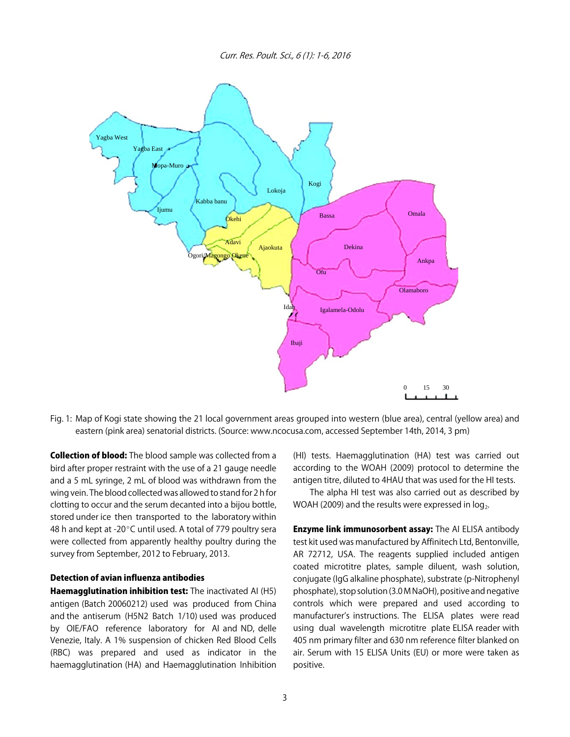Curr. Res. Poult. Sci., 6 (1): 1-6, 2016



Fig. 1: Map of Kogi state showing the 21 local government areas grouped into western (blue area), central (yellow area) and eastern (pink area) senatorial districts. (Source: www.ncocusa.com, accessed September 14th, 2014, 3 pm)

Collection of blood: The blood sample was collected from a bird after proper restraint with the use of a 21 gauge needle and a 5 mL syringe, 2 mL of blood was withdrawn from the wing vein. The blood collected was allowed to stand for 2 h for clotting to occur and the serum decanted into a bijou bottle, stored under ice then transported to the laboratory within 48 h and kept at -20 $^{\circ}$ C until used. A total of 779 poultry sera were collected from apparently healthy poultry during the survey from September, 2012 to February, 2013.

#### Detection of avian influenza antibodies

Haemagglutination inhibition test: The inactivated AI (H5) antigen (Batch 20060212) used was produced from China and the antiserum (H5N2 Batch 1/10) used was produced by OIE/FAO reference laboratory for AI and ND, delle Venezie, Italy. A 1% suspension of chicken Red Blood Cells (RBC) was prepared and used as indicator in the haemagglutination (HA) and Haemagglutination Inhibition

(HI) tests. Haemagglutination (HA) test was carried out according to the WOAH (2009) protocol to determine the antigen titre, diluted to 4HAU that was used for the HI tests.

The alpha HI test was also carried out as described by WOAH (2009) and the results were expressed in  $log<sub>2</sub>$ .

**Enzyme link immunosorbent assay:** The AI ELISA antibody test kit used was manufactured by Affinitech Ltd, Bentonville, AR 72712, USA. The reagents supplied included antigen coated microtitre plates, sample diluent, wash solution, conjugate (IgG alkaline phosphate), substrate (p-Nitrophenyl phosphate), stop solution (3.0 M NaOH), positive and negative controls which were prepared and used according to manufacturer's instructions. The ELISA plates were read using dual wavelength microtitre plate ELISA reader with 405 nm primary filter and 630 nm reference filter blanked on air. Serum with 15 ELISA Units (EU) or more were taken as positive.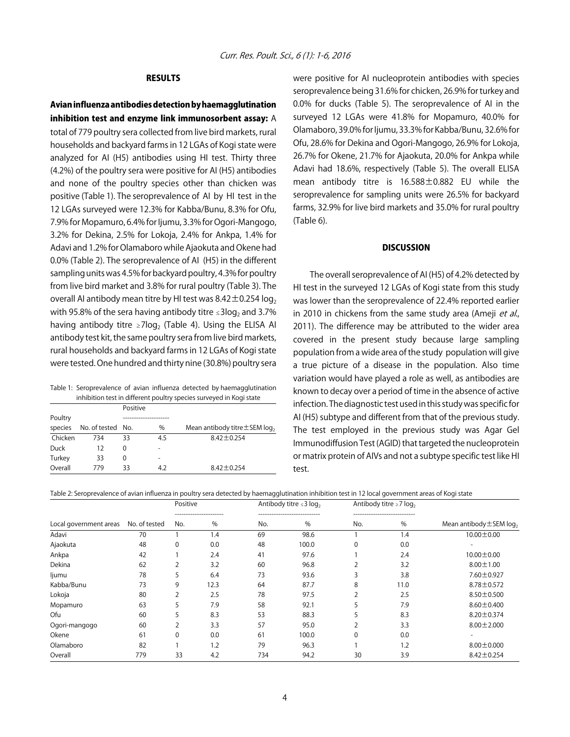#### RESULTS

Avian influenza antibodies detection by haemagglutination inhibition test and enzyme link immunosorbent assay: A total of 779 poultry sera collected from live bird markets, rural households and backyard farms in 12 LGAs of Kogi state were analyzed for AI (H5) antibodies using HI test. Thirty three (4.2%) of the poultry sera were positive for AI (H5) antibodies and none of the poultry species other than chicken was positive (Table 1). The seroprevalence of AI by HI test in the 12 LGAs surveyed were 12.3% for Kabba/Bunu, 8.3% for Ofu, 7.9% for Mopamuro, 6.4% for Ijumu, 3.3% for Ogori-Mangogo, 3.2% for Dekina, 2.5% for Lokoja, 2.4% for Ankpa, 1.4% for Adavi and 1.2% for Olamaboro while Ajaokuta and Okene had 0.0% (Table 2). The seroprevalence of AI (H5) in the different sampling units was 4.5% for backyard poultry, 4.3% for poultry from live bird market and 3.8% for rural poultry (Table 3). The overall AI antibody mean titre by HI test was  $8.42 \pm 0.254$  log<sub>2</sub>

with 95.8% of the sera having antibody titre  $\leq$ 3log<sub>2</sub> and 3.7% having antibody titre  $\geq$ 7log<sub>2</sub> (Table 4). Using the ELISA AI antibody test kit, the same poultry sera from live bird markets, rural households and backyard farms in 12 LGAs of Kogi state were tested. One hundred and thirty nine (30.8%) poultry sera

|  |  | Table 1: Seroprevalence of avian influenza detected by haemagglutination |  |
|--|--|--------------------------------------------------------------------------|--|
|  |  | inhibition test in different poultry species surveyed in Kogi state      |  |

|         |                   | Positive |               |                                                |
|---------|-------------------|----------|---------------|------------------------------------------------|
| Poultry |                   |          |               |                                                |
| species | No. of tested No. |          | $\frac{0}{0}$ | Mean antibody titre $\pm$ SEM log <sub>2</sub> |
| Chicken | 734               | 33       | 4.5           | $8.42 \pm 0.254$                               |
| Duck    | 12                | $\Omega$ |               |                                                |
| Turkey  | 33                | 0        |               |                                                |
| Overall | 779               | 33       | 4.2           | $8.42 \pm 0.254$                               |

were positive for AI nucleoprotein antibodies with species seroprevalence being 31.6% for chicken, 26.9% for turkey and 0.0% for ducks (Table 5). The seroprevalence of AI in the surveyed 12 LGAs were 41.8% for Mopamuro, 40.0% for Olamaboro, 39.0% for Ijumu, 33.3% for Kabba/Bunu, 32.6% for Ofu, 28.6% for Dekina and Ogori-Mangogo, 26.9% for Lokoja, 26.7% for Okene, 21.7% for Ajaokuta, 20.0% for Ankpa while Adavi had 18.6%, respectively (Table 5). The overall ELISA mean antibody titre is 16.588±0.882 EU while the seroprevalence for sampling units were 26.5% for backyard farms, 32.9% for live bird markets and 35.0% for rural poultry (Table 6).

#### **DISCUSSION**

The overall seroprevalence of AI (H5) of 4.2% detected by HI test in the surveyed 12 LGAs of Kogi state from this study was lower than the seroprevalence of 22.4% reported earlier in 2010 in chickens from the same study area (Ameji et al., 2011). The difference may be attributed to the wider area covered in the present study because large sampling population from a wide area of the study population will give a true picture of a disease in the population. Also time variation would have played a role as well, as antibodies are known to decay over a period of time in the absence of active infection. The diagnostic test used in this study was specific for AI (H5) subtype and different from that of the previous study. The test employed in the previous study was Agar Gel Immunodiffusion Test (AGID) that targeted the nucleoprotein or matrix protein of AIVs and not a subtype specific test like HI test.

| Table 2: Seroprevalence of avian influenza in poultry sera detected by haemagglutination inhibition test in 12 local government areas of Kogi state |  |  |  |
|-----------------------------------------------------------------------------------------------------------------------------------------------------|--|--|--|
|-----------------------------------------------------------------------------------------------------------------------------------------------------|--|--|--|

|                        |               | Positive |      |       | Antibody titre $\leq 3 \log_2$ |          | Antibody titre $\geq 7$ log, |                                    |                                          |
|------------------------|---------------|----------|------|-------|--------------------------------|----------|------------------------------|------------------------------------|------------------------------------------|
| Local government areas | No. of tested | No.      |      | <br>% | No.                            | <br>$\%$ | No.                          | -----------------------------<br>% | Mean antibody $\pm$ SEM log <sub>2</sub> |
| Adavi                  | 70            |          | 1.4  | 69    | 98.6                           |          | 1.4                          | $10.00 \pm 0.00$                   |                                          |
| Ajaokuta               | 48            | 0        | 0.0  | 48    | 100.0                          | $\Omega$ | 0.0                          | $\overline{\phantom{0}}$           |                                          |
| Ankpa                  | 42            |          | 2.4  | 41    | 97.6                           |          | 2.4                          | $10.00 \pm 0.00$                   |                                          |
| Dekina                 | 62            | 2        | 3.2  | 60    | 96.8                           | 2        | 3.2                          | $8.00 \pm 1.00$                    |                                          |
| ljumu                  | 78            | 5        | 6.4  | 73    | 93.6                           |          | 3.8                          | 7.60±0.927                         |                                          |
| Kabba/Bunu             | 73            | 9        | 12.3 | 64    | 87.7                           | 8        | 11.0                         | $8.78 \pm 0.572$                   |                                          |
| Lokoja                 | 80            | 2        | 2.5  | 78    | 97.5                           | 2        | 2.5                          | $8.50 \pm 0.500$                   |                                          |
| Mopamuro               | 63            | 5        | 7.9  | 58    | 92.1                           |          | 7.9                          | $8.60 \pm 0.400$                   |                                          |
| Ofu                    | 60            |          | 8.3  | 53    | 88.3                           |          | 8.3                          | $8.20 \pm 0.374$                   |                                          |
| Ogori-mangogo          | 60            | 2        | 3.3  | 57    | 95.0                           |          | 3.3                          | $8.00 \pm 2.000$                   |                                          |
| Okene                  | 61            | 0        | 0.0  | 61    | 100.0                          | $\Omega$ | 0.0                          | -                                  |                                          |
| Olamaboro              | 82            |          | 1.2  | 79    | 96.3                           |          | 1.2                          | $8.00 \pm 0.000$                   |                                          |
| Overall                | 779           | 33       | 4.2  | 734   | 94.2                           | 30       | 3.9                          | $8.42 \pm 0.254$                   |                                          |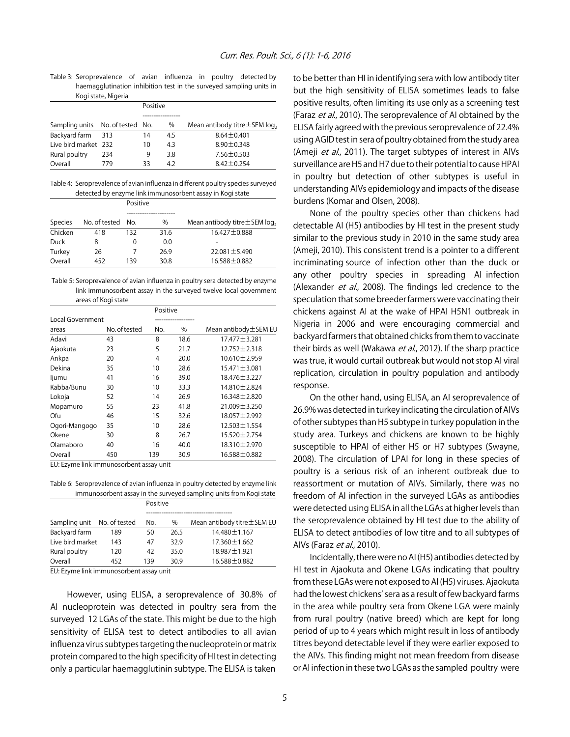Table 3: Seroprevalence of avian influenza in poultry detected by haemagglutination inhibition test in the surveyed sampling units in Kogi state, Nigeria

| 10413000, 119010                 |     |    |          |                                                |  |  |
|----------------------------------|-----|----|----------|------------------------------------------------|--|--|
|                                  |     |    | Positive |                                                |  |  |
|                                  |     |    |          |                                                |  |  |
| Sampling units No. of tested No. |     |    | $\%$     | Mean antibody titre $\pm$ SEM log <sub>2</sub> |  |  |
| Backyard farm                    | 313 | 14 | 4.5      | $8.64 \pm 0.401$                               |  |  |
| Live bird market 232             |     | 10 | 4.3      | $8.90 \pm 0.348$                               |  |  |
| Rural poultry                    | 234 | 9  | 3.8      | $7.56 \pm 0.503$                               |  |  |
| Overall                          | 779 | 33 | 42       | $8.42 \pm 0.254$                               |  |  |
|                                  |     |    |          |                                                |  |  |

Table 4: Seroprevalence of avian influenza in different poultry species surveyed detected by enzyme link immunosorbent assay in Kogi state

|                |               | Positive |               |                                                |
|----------------|---------------|----------|---------------|------------------------------------------------|
|                |               |          |               |                                                |
| <b>Species</b> | No. of tested | No.      | $\frac{0}{0}$ | Mean antibody titre $\pm$ SEM log <sub>2</sub> |
| Chicken        | 418           | 132      | 31.6          | $16.427 \pm 0.888$                             |
| Duck           | 8             | 0        | 0.0           |                                                |
| Turkey         | 26            |          | 26.9          | $22.081 \pm 5.490$                             |
| Overall        | 452           | 139      | 30.8          | 16.588±0.882                                   |

 Table 5: Seroprevalence of avian influenza in poultry sera detected by enzyme link immunosorbent assay in the surveyed twelve local government areas of Kogi state

|                  | ╯             |          |      |                        |  |  |
|------------------|---------------|----------|------|------------------------|--|--|
|                  |               | Positive |      |                        |  |  |
| Local Government |               |          |      |                        |  |  |
| areas            | No. of tested | No.      | %    | Mean antibody ± SEM EU |  |  |
| Adavi            | 43            | 8        | 18.6 | 17.477 ± 3.281         |  |  |
| Ajaokuta         | 23            | 5        | 21.7 | 12.752 ± 2.318         |  |  |
| Ankpa            | 20            | 4        | 20.0 | 10.610 ± 2.959         |  |  |
| Dekina           | 35            | 10       | 28.6 | 15.471 ± 3.081         |  |  |
| ljumu            | 41            | 16       | 39.0 | 18.476±3.227           |  |  |
| Kabba/Bunu       | 30            | 10       | 33.3 | 14.810±2.824           |  |  |
| Lokoja           | 52            | 14       | 26.9 | 16.348±2.820           |  |  |
| Mopamuro         | 55            | 23       | 41.8 | $21.009 \pm 3.250$     |  |  |
| Ofu              | 46            | 15       | 32.6 | 18.057 ± 2.992         |  |  |
| Ogori-Mangogo    | 35            | 10       | 28.6 | $12.503 \pm 1.554$     |  |  |
| Okene            | 30            | 8        | 26.7 | 15.520±2.754           |  |  |
| Olamaboro        | 40            | 16       | 40.0 | 18.310 ± 2.970         |  |  |
| Overall          | 450           | 139      | 30.9 | 16.588±0.882           |  |  |
|                  |               |          |      |                        |  |  |

EU: Ezyme link immunosorbent assay unit

Table 6: Seroprevalence of avian influenza in poultry detected by enzyme link immunosorbent assay in the surveyed sampling units from Kogi state

|                             |     | Positive |      |                              |  |  |  |
|-----------------------------|-----|----------|------|------------------------------|--|--|--|
|                             |     |          |      |                              |  |  |  |
| Sampling unit No. of tested |     | No.      | $\%$ | Mean antibody titre ± SEM EU |  |  |  |
| Backyard farm               | 189 | 50       | 26.5 | 14.480 ± 1.167               |  |  |  |
| Live bird market            | 143 | 47       | 32.9 | $17.360 \pm 1.662$           |  |  |  |
| Rural poultry               | 120 | 42       | 35.0 | 18.987±1.921                 |  |  |  |
| Overall                     | 452 | 139      | 30.9 | 16.588 ± 0.882               |  |  |  |

EU: Ezyme link immunosorbent assay unit

However, using ELISA, a seroprevalence of 30.8% of AI nucleoprotein was detected in poultry sera from the surveyed 12 LGAs of the state. This might be due to the high sensitivity of ELISA test to detect antibodies to all avian influenza virus subtypes targeting the nucleoprotein or matrix protein compared to the high specificity of HI test in detecting only a particular haemagglutinin subtype. The ELISA is taken to be better than HI in identifying sera with low antibody titer but the high sensitivity of ELISA sometimes leads to false positive results, often limiting its use only as a screening test (Faraz et al., 2010). The seroprevalence of AI obtained by the ELISA fairly agreed with the previous seroprevalence of 22.4% using AGID test in sera of poultry obtained from the study area (Ameji et al., 2011). The target subtypes of interest in AIVs surveillance are H5 and H7 due to their potential to cause HPAI in poultry but detection of other subtypes is useful in understanding AIVs epidemiology and impacts of the disease burdens (Komar and Olsen, 2008).

None of the poultry species other than chickens had detectable AI (H5) antibodies by HI test in the present study similar to the previous study in 2010 in the same study area (Ameji, 2010). This consistent trend is a pointer to a different incriminating source of infection other than the duck or any other poultry species in spreading AI infection (Alexander et al., 2008). The findings led credence to the speculation that some breeder farmers were vaccinating their chickens against AI at the wake of HPAI H5N1 outbreak in Nigeria in 2006 and were encouraging commercial and backyard farmers that obtained chicks from them to vaccinate their birds as well (Wakawa et al., 2012). If the sharp practice was true, it would curtail outbreak but would not stop AI viral replication, circulation in poultry population and antibody response.

On the other hand, using ELISA, an AI seroprevalence of 26.9% was detected in turkey indicating the circulation of AIVs of other subtypes than H5 subtype in turkey population in the study area. Turkeys and chickens are known to be highly susceptible to HPAI of either H5 or H7 subtypes (Swayne, 2008). The circulation of LPAI for long in these species of poultry is a serious risk of an inherent outbreak due to reassortment or mutation of AIVs. Similarly, there was no freedom of AI infection in the surveyed LGAs as antibodies were detected using ELISA in all the LGAs at higher levels than the seroprevalence obtained by HI test due to the ability of ELISA to detect antibodies of low titre and to all subtypes of AIVs (Faraz et al., 2010).

Incidentally, there were no AI (H5) antibodies detected by HI test in Ajaokuta and Okene LGAs indicating that poultry from these LGAs were not exposed to AI (H5) viruses. Ajaokuta had the lowest chickens' sera as a result of few backyard farms in the area while poultry sera from Okene LGA were mainly from rural poultry (native breed) which are kept for long period of up to 4 years which might result in loss of antibody titres beyond detectable level if they were earlier exposed to the AIVs. This finding might not mean freedom from disease or AI infection in these two LGAs as the sampled poultry were